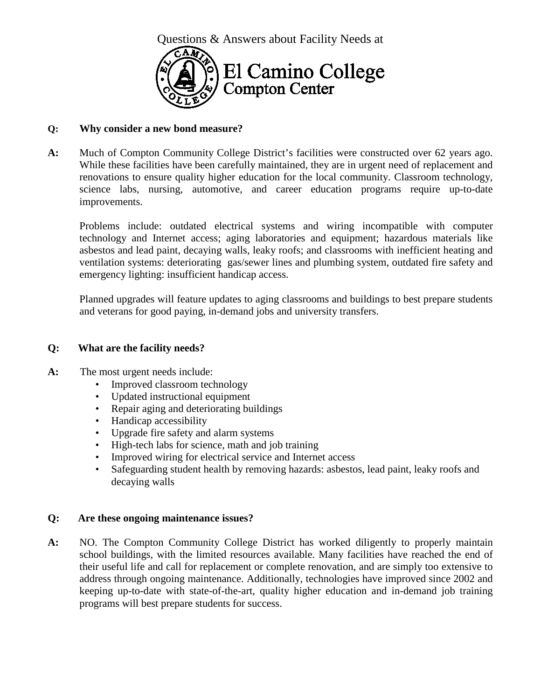

### **Q: Why consider a new bond measure?**

**A:** Much of Compton Community College District's facilities were constructed over 62 years ago. While these facilities have been carefully maintained, they are in urgent need of replacement and renovations to ensure quality higher education for the local community. Classroom technology, science labs, nursing, automotive, and career education programs require up-to-date improvements.

Problems include: outdated electrical systems and wiring incompatible with computer technology and Internet access; aging laboratories and equipment; hazardous materials like asbestos and lead paint, decaying walls, leaky roofs; and classrooms with inefficient heating and ventilation systems: deteriorating gas/sewer lines and plumbing system, outdated fire safety and emergency lighting: insufficient handicap access.

Planned upgrades will feature updates to aging classrooms and buildings to best prepare students and veterans for good paying, in-demand jobs and university transfers.

### **Q: What are the facility needs?**

- **A:** The most urgent needs include:
	- Improved classroom technology
	- Updated instructional equipment
	- Repair aging and deteriorating buildings
	- Handicap accessibility
	- Upgrade fire safety and alarm systems
	- High-tech labs for science, math and job training
	- Improved wiring for electrical service and Internet access
	- Safeguarding student health by removing hazards: asbestos, lead paint, leaky roofs and decaying walls

#### **Q: Are these ongoing maintenance issues?**

**A:** NO. The Compton Community College District has worked diligently to properly maintain school buildings, with the limited resources available. Many facilities have reached the end of their useful life and call for replacement or complete renovation, and are simply too extensive to address through ongoing maintenance. Additionally, technologies have improved since 2002 and keeping up-to-date with state-of-the-art, quality higher education and in-demand job training programs will best prepare students for success.